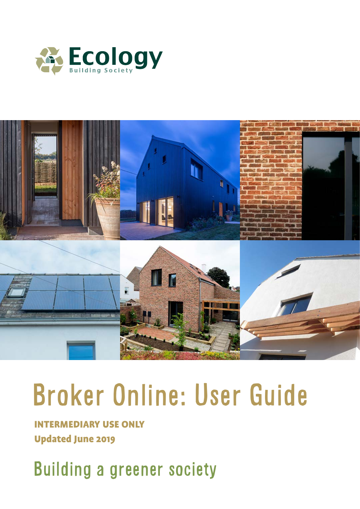



# Broker Online: User Guide

INTERMEDIARY USE ONLY Updated June 2019

Building a greener society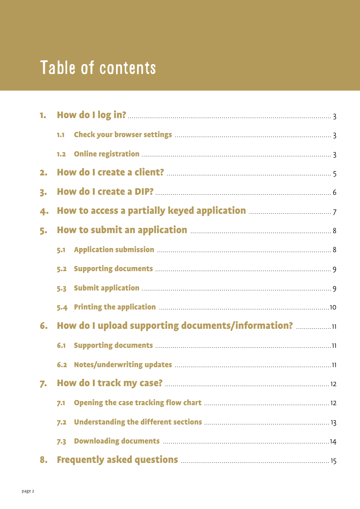# Table of contents

| 1.             |     |                                                   |  |
|----------------|-----|---------------------------------------------------|--|
|                | 1.1 |                                                   |  |
|                |     |                                                   |  |
| 2.             |     |                                                   |  |
| 3 <sub>o</sub> |     |                                                   |  |
| 4.             |     |                                                   |  |
| 5.             |     |                                                   |  |
|                | 5.1 |                                                   |  |
|                |     |                                                   |  |
|                |     |                                                   |  |
|                |     |                                                   |  |
| 6.             |     | How do I upload supporting documents/information? |  |
|                | 6.1 |                                                   |  |
|                |     |                                                   |  |
| 7.             |     |                                                   |  |
|                | 7.1 |                                                   |  |
|                | 7.2 |                                                   |  |
|                | 7.3 |                                                   |  |
| 8.             |     |                                                   |  |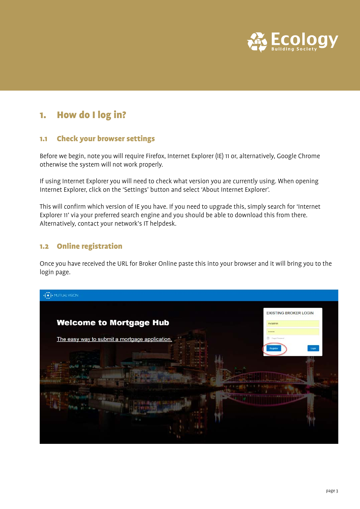

# 1. How do I log in?

#### 1.1 Check your browser settings

Before we begin, note you will require Firefox, Internet Explorer (IE) 11 or, alternatively, Google Chrome otherwise the system will not work properly.

If using Internet Explorer you will need to check what version you are currently using. When opening Internet Explorer, click on the 'Settings' button and select 'About Internet Explorer'.

This will confirm which version of IE you have. If you need to upgrade this, simply search for 'Internet Explorer 11' via your preferred search engine and you should be able to download this from there. Alternatively, contact your network's IT helpdesk.

#### 1.2 Online registration

Once you have received the URL for Broker Online paste this into your browser and it will bring you to the login page.

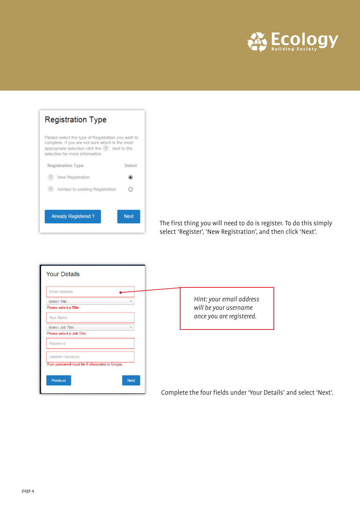

| Registration Type                                                                                                                                                                          |             |  |  |  |  |  |
|--------------------------------------------------------------------------------------------------------------------------------------------------------------------------------------------|-------------|--|--|--|--|--|
| Please select the type of Registration you wish to<br>complete. If you are not sure which is the most<br>appropriate selection click the [?] next to the<br>selection for more information |             |  |  |  |  |  |
| <b>Registration Type</b>                                                                                                                                                                   | Select      |  |  |  |  |  |
| New Registration                                                                                                                                                                           |             |  |  |  |  |  |
| Advisor to existing Registration                                                                                                                                                           |             |  |  |  |  |  |
|                                                                                                                                                                                            |             |  |  |  |  |  |
| Already Registered?                                                                                                                                                                        | <b>Next</b> |  |  |  |  |  |
|                                                                                                                                                                                            |             |  |  |  |  |  |

The first thing you will need to do is register. To do this simply select 'Register', 'New Registration', and then click 'Next'.

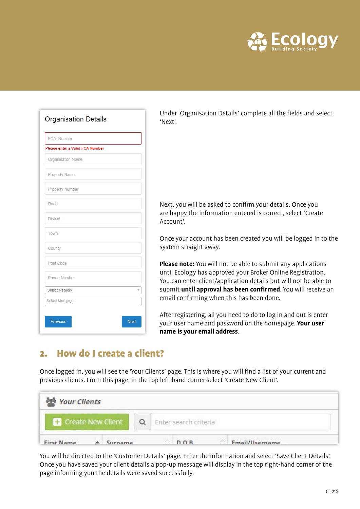

| <b>Organisation Details</b>     |
|---------------------------------|
| <b>FCA Number</b>               |
| Please enter a Valid FCA Number |
| Organisation Name               |
| <b>Property Name</b>            |
| <b>Property Number</b>          |
| Road                            |
| <b>District</b>                 |
| Town                            |
| County                          |
| Post Code                       |
| <b>Phone Number</b>             |
| <b>Select Network</b>           |
| Select Mortgage+                |
| <b>Next</b><br><b>Previous</b>  |

Under 'Organisation Details' complete all the fields and select 'Next'.

Next, you will be asked to confirm your details. Once you are happy the information entered is correct, select 'Create Account'.

Once your account has been created you will be logged in to the system straight away.

**Please note:** You will not be able to submit any applications until Ecology has approved your Broker Online Registration. You can enter client/application details but will not be able to submit **until approval has been confirmed**. You will receive an email confirming when this has been done.

After registering, all you need to do to log in and out is enter your user name and password on the homepage. **Your user name is your email address**.

## 2. How do I create a client?

Once logged in, you will see the 'Your Clients' page. This is where you will find a list of your current and previous clients. From this page, in the top left-hand corner select 'Create New Client'.

| <b>Pour Clients</b>       |                               |
|---------------------------|-------------------------------|
| <b>Create New Client</b>  | Enter search criteria         |
| First Name<br>$A$ Surname | Email/llsername<br><b>DOR</b> |

You will be directed to the 'Customer Details' page. Enter the information and select 'Save Client Details'. Once you have saved your client details a pop-up message will display in the top right-hand corner of the page informing you the details were saved successfully.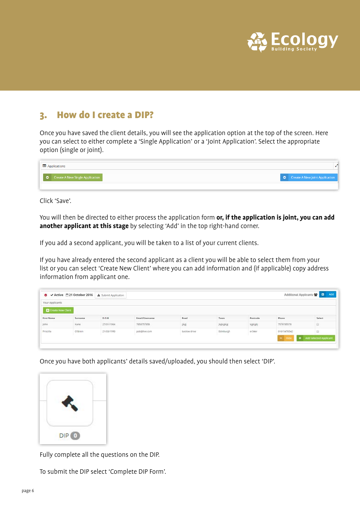

## 3. How do I create a DIP?

Once you have saved the client details, you will see the application option at the top of the screen. Here you can select to either complete a 'Single Application' or a 'Joint Application'. Select the appropriate option (single or joint).

| Applications                             |                                          |
|------------------------------------------|------------------------------------------|
| <b>O</b> Create A New Single Application | $\bullet$ Create A New Joint Application |
|                                          |                                          |

Click 'Save'.

You will then be directed to either process the application form **or, if the application is joint, you can add another applicant at this stage** by selecting 'Add' in the top right-hand corner.

If you add a second applicant, you will be taken to a list of your current clients.

If you have already entered the second applicant as a client you will be able to select them from your list or you can select 'Create New Client' where you can add information and (if applicable) copy address information from applicant one.

| Your Applicants   |         |                                    |                       |              |                  |          |             |        |
|-------------------|---------|------------------------------------|-----------------------|--------------|------------------|----------|-------------|--------|
| Create New Client |         |                                    |                       |              |                  |          |             |        |
| First Name        | Surname | D.O.B.                             | <b>Email/Username</b> | Road         | Town             | Postcode | Phone       | Select |
| John              | Kane    | <b>SANDRA COUNTY</b><br>27/01/1964 | 7858757858            | 決步           | <b>Jkgkjgkjg</b> | kjgkjgkj | 7578785578  | 旧      |
| Priscilla         | O'Brien | 21/03/1990                         | pob@live.com          | baslow drive | Edinburgh        | er34er   | 01615478542 |        |

Once you have both applicants' details saved/uploaded, you should then select 'DIP'.



Fully complete all the questions on the DIP.

To submit the DIP select 'Complete DIP Form'.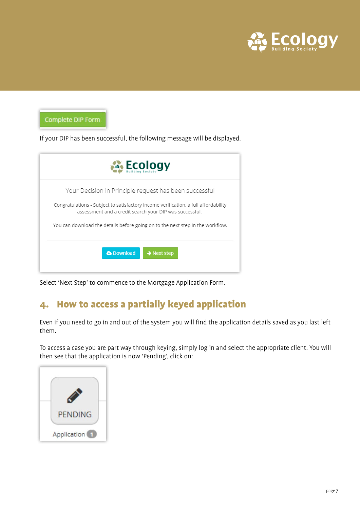

Complete DIP Form

If your DIP has been successful, the following message will be displayed.

| <b>Ecology</b>                                                                                                                                                                                           |
|----------------------------------------------------------------------------------------------------------------------------------------------------------------------------------------------------------|
| Your Decision in Principle request has been successful<br>Congratulations - Subject to satisfactory income verification, a full affordability<br>assessment and a credit search your DIP was successful. |
| You can download the details before going on to the next step in the workflow.                                                                                                                           |
| <b>&amp; Download</b><br>$\rightarrow$ Next step                                                                                                                                                         |

Select 'Next Step' to commence to the Mortgage Application Form.

# 4. How to access a partially keyed application

Even if you need to go in and out of the system you will find the application details saved as you last left them.

To access a case you are part way through keying, simply log in and select the appropriate client. You will then see that the application is now 'Pending', click on:

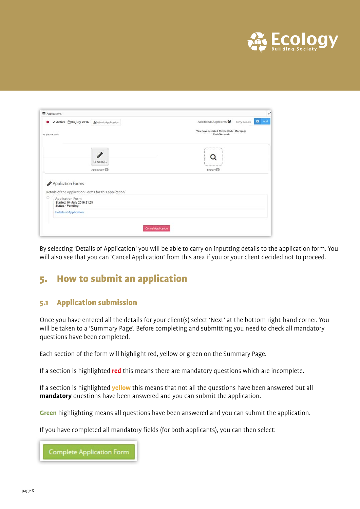

| ✔ Active <sup>1</sup> 04 July 2016<br>۰                                         | <b>ASubmit Application</b>                            | $\Box$ Add<br>Additional Applicants 酱<br>Perry Daniels |
|---------------------------------------------------------------------------------|-------------------------------------------------------|--------------------------------------------------------|
|                                                                                 |                                                       | You have selected Thistle Club - Mortgage              |
| e, please click                                                                 |                                                       | Club/Network                                           |
|                                                                                 |                                                       |                                                        |
|                                                                                 | ♪                                                     |                                                        |
|                                                                                 | <b>PENDING</b>                                        |                                                        |
|                                                                                 | Application                                           | Enquiry <sup>®</sup>                                   |
| Application Forms                                                               | Details of the Application Forms for this application |                                                        |
|                                                                                 |                                                       |                                                        |
| o<br>Application Form<br>Started: 04 July 2016 21:23<br><b>Status - Pending</b> |                                                       |                                                        |
| <b>Details of Application</b>                                                   |                                                       |                                                        |
|                                                                                 |                                                       |                                                        |

By selecting 'Details of Application' you will be able to carry on inputting details to the application form. You will also see that you can 'Cancel Application' from this area if you or your client decided not to proceed.

# 5. How to submit an application

#### 5.1 Application submission

Once you have entered all the details for your client(s) select 'Next' at the bottom right-hand corner. You will be taken to a 'Summary Page'. Before completing and submitting you need to check all mandatory questions have been completed.

Each section of the form will highlight red, yellow or green on the Summary Page.

If a section is highlighted **red** this means there are mandatory questions which are incomplete.

If a section is highlighted **yellow** this means that not all the questions have been answered but all **mandatory** questions have been answered and you can submit the application.

**Green** highlighting means all questions have been answered and you can submit the application.

If you have completed all mandatory fields (for both applicants), you can then select:

**Complete Application Form**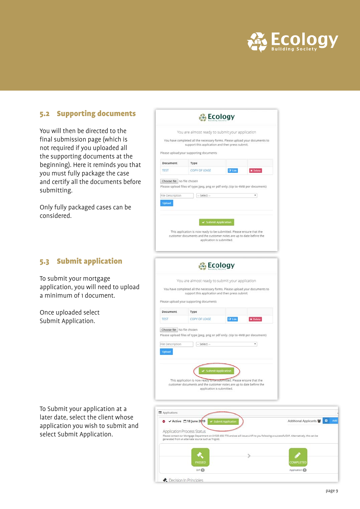

#### 5.2 Supporting documents

You will then be directed to the final submission page (which is not required if you uploaded all the supporting documents at the beginning). Here it reminds you that you must fully package the case and certify all the documents before submitting.

Only fully packaged cases can be considered.

#### 5.3 Submit application

To submit your mortgage application, you will need to upload a minimum of 1 document.

Once uploaded select Submit Application.

To Submit your application at a later date, select the client whose application you wish to submit and select Submit Application.



Cecision In Principles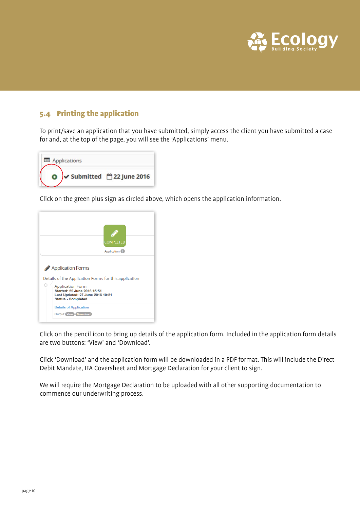

#### 5.4 Printing the application

To print/save an application that you have submitted, simply access the client you have submitted a case for and, at the top of the page, you will see the 'Applications' menu.

| Applications |                                   |
|--------------|-----------------------------------|
|              | Submitted <sup>22</sup> June 2016 |

Click on the green plus sign as circled above, which opens the application information.



Click on the pencil icon to bring up details of the application form. Included in the application form details are two buttons: 'View' and 'Download'.

Click 'Download' and the application form will be downloaded in a PDF format. This will include the Direct Debit Mandate, IFA Coversheet and Mortgage Declaration for your client to sign.

We will require the Mortgage Declaration to be uploaded with all other supporting documentation to commence our underwriting process.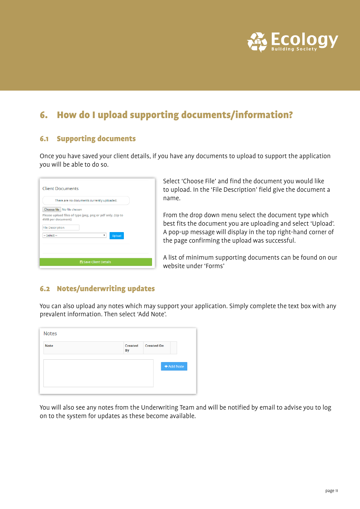

# 6. How do I upload supporting documents/information?

#### 6.1 Supporting documents

Once you have saved your client details, if you have any documents to upload to support the application you will be able to do so.

|                                                                                       | There are no documents currently uploaded. |   |               |  |
|---------------------------------------------------------------------------------------|--------------------------------------------|---|---------------|--|
| Choose file   No file chosen                                                          |                                            |   |               |  |
| Please upload files of type jpeg, png or pdf only. (Up to<br><b>4MB</b> per document) |                                            |   |               |  |
| <b>File Description</b>                                                               |                                            |   |               |  |
| $-$ Select $-$                                                                        |                                            | ▼ | <b>Upload</b> |  |
|                                                                                       |                                            |   |               |  |
|                                                                                       |                                            |   |               |  |

Select 'Choose File' and find the document you would like to upload. In the 'File Description' field give the document a name.

From the drop down menu select the document type which best fits the document you are uploading and select 'Upload'. A pop-up message will display in the top right-hand corner of the page confirming the upload was successful.

A list of minimum supporting documents can be found on our website under 'Forms'

#### 6.2 Notes/underwriting updates

You can also upload any notes which may support your application. Simply complete the text box with any prevalent information. Then select 'Add Note'.

| <b>Notes</b> |                                    |            |
|--------------|------------------------------------|------------|
| <b>Note</b>  | <b>Created On</b><br>Created<br>By |            |
|              |                                    |            |
|              |                                    | + Add Note |
|              |                                    |            |
|              |                                    |            |

You will also see any notes from the Underwriting Team and will be notified by email to advise you to log on to the system for updates as these become available.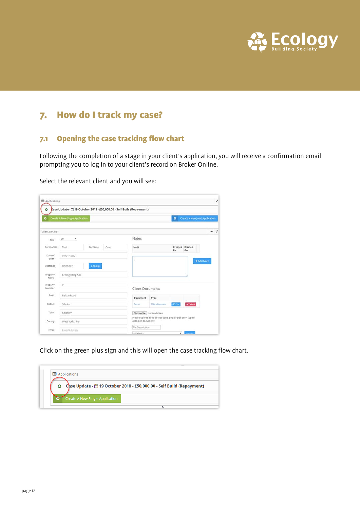

# 7. How do I track my case?

#### 7.1 Opening the case tracking flow chart

Following the completion of a stage in your client's application, you will receive a confirmation email prompting you to log in to your client's record on Broker Online.

Select the relevant client and you will see:

| Applications       |                                 |         |      |                                                                                |               |           |                                | ı          |
|--------------------|---------------------------------|---------|------|--------------------------------------------------------------------------------|---------------|-----------|--------------------------------|------------|
| ۰<br>$\bullet$     | Create A New Single Application |         |      | Case Update - [19] October 2018 - £50,000.00 - Self Build (Repayment)          |               | $\bullet$ | Create A New Joint Application |            |
| Client Details     |                                 |         |      |                                                                                |               |           |                                | $-$ 2      |
| Title              | $\tau$<br>Mr                    |         |      | Notes                                                                          |               |           |                                |            |
| Förenames          | Test                            | Surname | Case | Note                                                                           |               | By        | Created Created<br>on          |            |
| Date of<br>Birth   | 01/01/1980                      |         |      |                                                                                |               |           |                                | + Add Note |
| Postcode           | Lookup<br>BD20-0EE              |         |      |                                                                                |               |           |                                |            |
| Property.<br>Name  | Ecology Bldg Soc                |         |      |                                                                                |               |           |                                |            |
| Property<br>Number | $\overline{\gamma}$             |         |      | <b>Client Documents</b>                                                        |               |           |                                |            |
| Road               | Belton Road                     |         |      | <b>Document</b>                                                                | Type          |           |                                |            |
| District           | Silsden                         |         |      | Form                                                                           | Miscellaneous | Of Edit   | <b>x</b> Defete                |            |
| Town               | Keighley                        |         |      | Choose file   No file chosen                                                   |               |           |                                |            |
| County.            | West Yorkshire                  |         |      | Please upload files of type jpeg, png or pdf only. (Up to<br>4MB per document) |               |           |                                |            |
| Email              | Email Address                   |         |      | File Description<br>$-$ Select $-$                                             |               |           | <b>Ucloud</b>                  |            |

Click on the green plus sign and this will open the case tracking flow chart.

|   | Case Update - 19 October 2018 - £50,000.00 - Self Build (Repayment) |
|---|---------------------------------------------------------------------|
| Θ |                                                                     |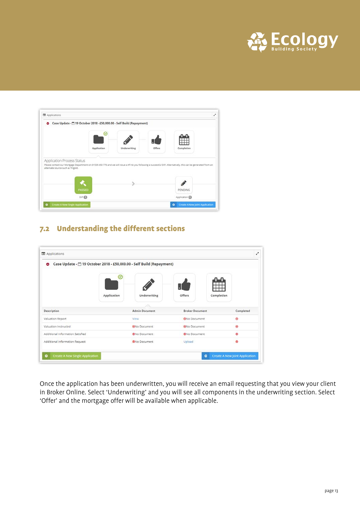

| ۰                                                                                                                                                                                                                                  |             | Case Update - [9] 19 October 2018 - £50,000.00 - Self Build (Repayment) |        |            |
|------------------------------------------------------------------------------------------------------------------------------------------------------------------------------------------------------------------------------------|-------------|-------------------------------------------------------------------------|--------|------------|
|                                                                                                                                                                                                                                    | ☺           |                                                                         |        |            |
|                                                                                                                                                                                                                                    | Application | Underwriting                                                            | Offers | Completion |
|                                                                                                                                                                                                                                    |             |                                                                         |        |            |
|                                                                                                                                                                                                                                    |             |                                                                         |        |            |
|                                                                                                                                                                                                                                    |             |                                                                         |        |            |
| Application Process Status<br>Please contact our Mortgage Department on 01535 650 770 and we will issue a KFI to you following a successful DIP. Alternatively, this can be generated from an<br>alternate source such as Trigold. |             |                                                                         |        |            |
| PASSED                                                                                                                                                                                                                             |             |                                                                         |        | PENDING    |

#### 7.2 Understanding the different sections

| Case Update - ^ 19 October 2018 - £50,000.00 - Self Build (Repayment)<br>۰ |             |                       |                        |            |           |
|----------------------------------------------------------------------------|-------------|-----------------------|------------------------|------------|-----------|
|                                                                            | $_{\odot}$  |                       |                        |            |           |
|                                                                            | Application | Underwriting          | Offers                 | Completion |           |
| Description                                                                |             | <b>Admin Document</b> | <b>Broker Document</b> |            | Completed |
| Valuation Report                                                           | View        |                       | @No Document           |            | ۵         |
| Valuation Instructed                                                       |             | <b>ON</b> o Document  | <b>ONo Document</b>    |            | ۵         |
| Additional Information Satisfied                                           |             | ONo Document          | <b>ONo Document</b>    |            | ۵         |
| Additional Information Request                                             |             | <b>ONo Document</b>   | Upload                 |            | ۵         |

Once the application has been underwritten, you will receive an email requesting that you view your client in Broker Online. Select 'Underwriting' and you will see all components in the underwriting section. Select 'Offer' and the mortgage offer will be available when applicable.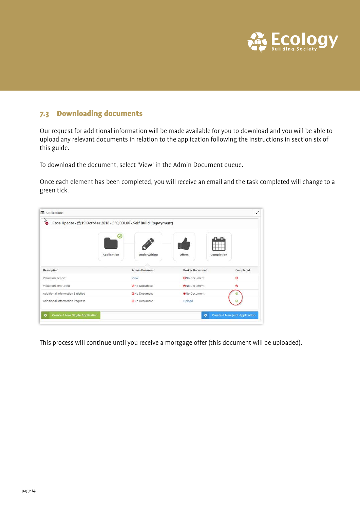

#### 7.3 Downloading documents

Our request for additional information will be made available for you to download and you will be able to upload any relevant documents in relation to the application following the instructions in section six of this guide.

To download the document, select 'View' in the Admin Document queue.

Once each element has been completed, you will receive an email and the task completed will change to a green tick.

| Applications<br>Per<br>Case Update - [9] 19 October 2018 - £50,000.00 - Self Build (Repayment) |             |                       |                        | v                              |
|------------------------------------------------------------------------------------------------|-------------|-----------------------|------------------------|--------------------------------|
|                                                                                                | $\omega$    |                       |                        |                                |
|                                                                                                | Application | Underwriting          | Offers                 | Completion                     |
| Description                                                                                    |             | <b>Admin Document</b> | <b>Broker Document</b> | Completed                      |
| Valuation Report                                                                               |             | View                  | <b>ON</b> o Document   | ۳                              |
| Valuation Instructed                                                                           |             | ONo Document          | <b>ONo Document</b>    | ۵                              |
| Additional Information Satisfied                                                               |             | ONo Document          | ONo Document           | Θ                              |
| Additional Information Request                                                                 |             | <b>ONo Document</b>   | Upload                 | ø                              |
| Create A New Single Application<br>۰                                                           |             |                       | $\bullet$              | Create A New Joint Application |

This process will continue until you receive a mortgage offer (this document will be uploaded).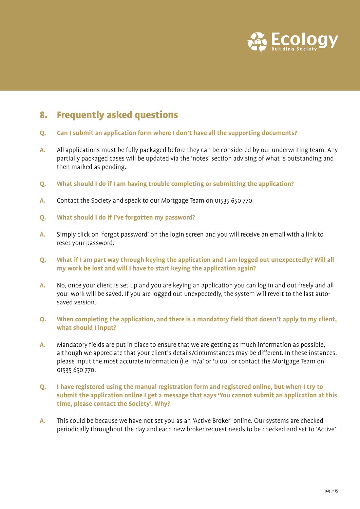

# 8. Frequently asked questions

- **Q. Can I submit an application form where I don't have all the supporting documents?**
- **A.** All applications must be fully packaged before they can be considered by our underwriting team. Any partially packaged cases will be updated via the 'notes' section advising of what is outstanding and then marked as pending.
- **Q. What should I do if I am having trouble completing or submitting the application?**
- **A.** Contact the Society and speak to our Mortgage Team on 01535 650 770.
- **Q. What should I do if I've forgotten my password?**
- **A.** Simply click on 'forgot password' on the login screen and you will receive an email with a link to reset your password.
- **Q. What if I am part way through keying the application and I am logged out unexpectedly? Will all my work be lost and will I have to start keying the application again?**
- **A.** No, once your client is set up and you are keying an application you can log in and out freely and all your work will be saved. If you are logged out unexpectedly, the system will revert to the last autosaved version.
- **Q. When completing the application, and there is a mandatory field that doesn't apply to my client, what should I input?**
- **A.** Mandatory fields are put in place to ensure that we are getting as much information as possible, although we appreciate that your client's details/circumstances may be different. In these instances, please input the most accurate information (i.e. 'n/a' or '0.00', or contact the Mortgage Team on 01535 650 770.
- **Q. I have registered using the manual registration form and registered online, but when I try to submit the application online I get a message that says 'You cannot submit an application at this time, please contact the Society'. Why?**
- **A.** This could be because we have not set you as an 'Active Broker' online. Our systems are checked periodically throughout the day and each new broker request needs to be checked and set to 'Active'.